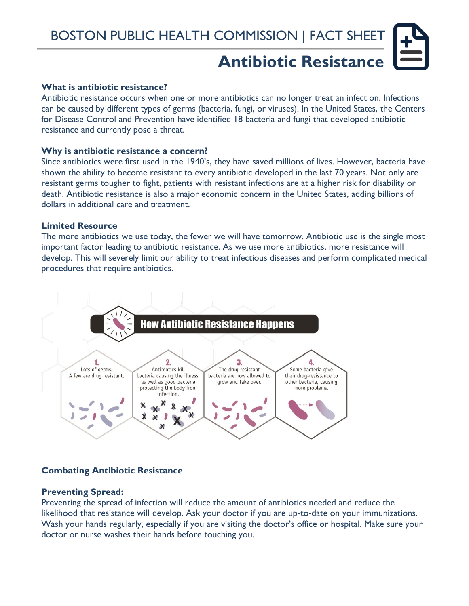# **Antibiotic Resistance**

## **What is antibiotic resistance?**

Antibiotic resistance occurs when one or more antibiotics can no longer treat an infection. Infections can be caused by different types of germs (bacteria, fungi, or viruses). In the United States, the Centers for Disease Control and Prevention have identified 18 bacteria and fungi that developed antibiotic resistance and currently pose a threat.

#### **Why is antibiotic resistance a concern?**

Since antibiotics were first used in the 1940's, they have saved millions of lives. However, bacteria have shown the ability to become resistant to every antibiotic developed in the last 70 years. Not only are resistant germs tougher to fight, patients with resistant infections are at a higher risk for disability or death. Antibiotic resistance is also a major economic concern in the United States, adding billions of dollars in additional care and treatment.

## **Limited Resource**

The more antibiotics we use today, the fewer we will have tomorrow. Antibiotic use is the single most important factor leading to antibiotic resistance. As we use more antibiotics, more resistance will develop. This will severely limit our ability to treat infectious diseases and perform complicated medical procedures that require antibiotics.



# **Combating Antibiotic Resistance**

#### **Preventing Spread:**

Preventing the spread of infection will reduce the amount of antibiotics needed and reduce the likelihood that resistance will develop. Ask your doctor if you are up-to-date on your immunizations. Wash your hands regularly, especially if you are visiting the doctor's office or hospital. Make sure your doctor or nurse washes their hands before touching you.